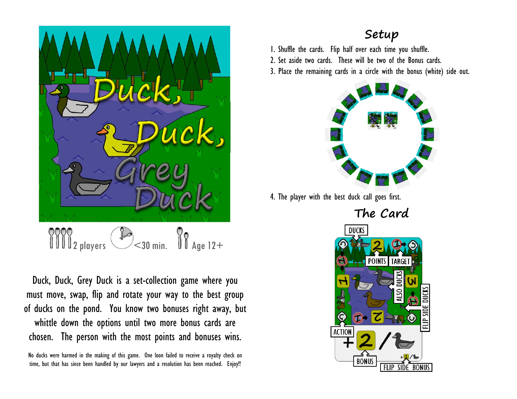

Duck, Duck, Grey Duck is a set-collection game where you must move, swap, flip and rotate your way to the best group of ducks on the pond. You know two bonuses right away, but whittle down the options until two more bonus cards are chosen. The person with the most points and bonuses wins.

No ducks were harmed in the making of this game. One loon failed to receive a royalty check on time, but that has since been handled by our lawyers and a resolution has been reached. Enjoy!!

#### **Setup**

1. Shuffle the cards. Flip half over each time you shuffle.

2. Set aside two cards. These will be two of the Bonus cards.

3. Place the remaining cards in a circle with the bonus (white) side out.



4. The player with the best duck call goes first.

**The Card DUCKS POINTS** TARCE DUCKS FLIP SID **ACTION BONUS**